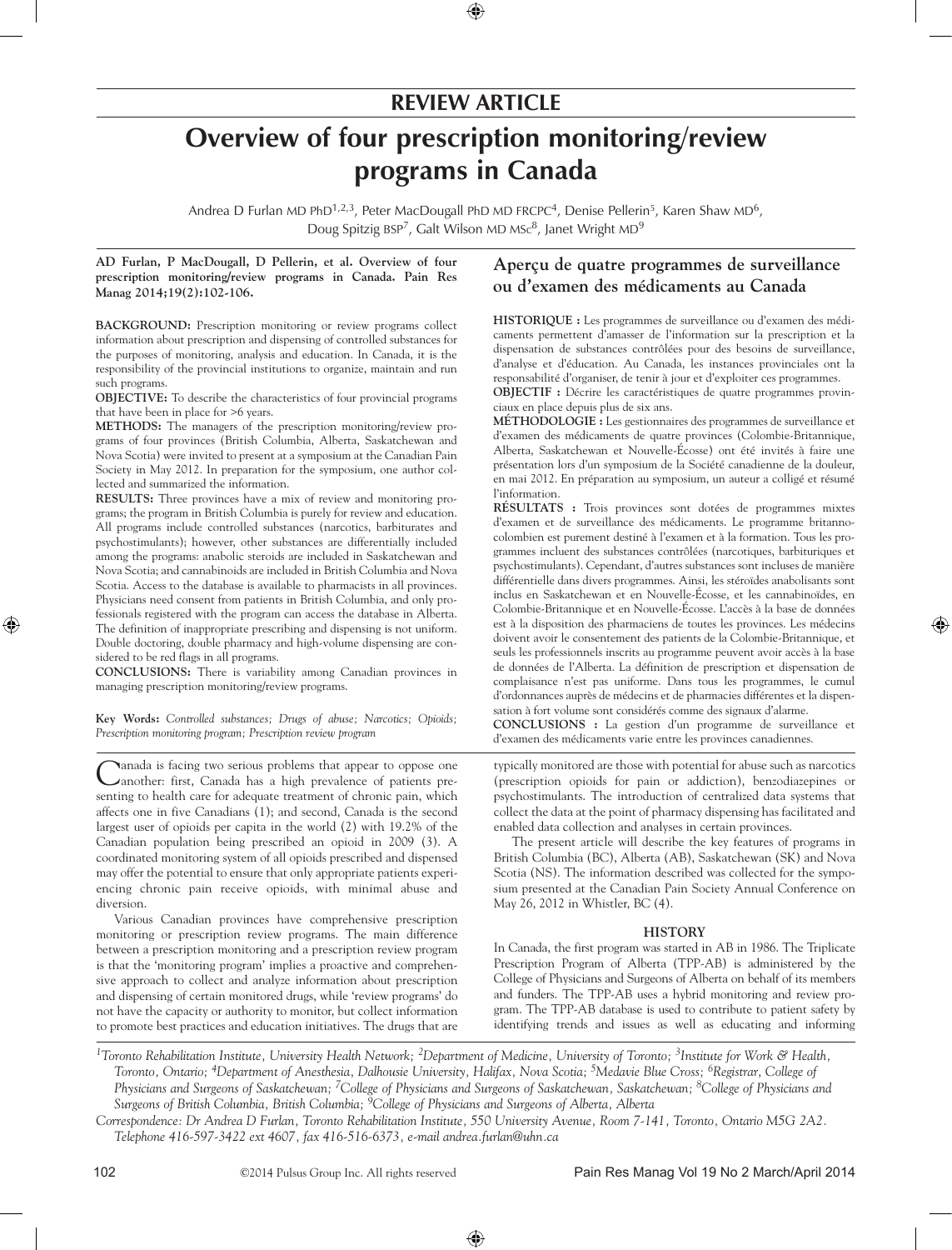## **review article**

# **Overview of four prescription monitoring/review programs in Canada**

Andrea D Furlan MD PhD<sup>1,2,3</sup>, Peter MacDougall PhD MD FRCPC<sup>4</sup>, Denise Pellerin<sup>5</sup>, Karen Shaw MD<sup>6</sup>, Doug Spitzig BSP<sup>7</sup>, Galt Wilson MD MSc<sup>8</sup>, Janet Wright MD<sup>9</sup>

#### **AD Furlan, P MacDougall, D Pellerin, et al. Overview of four prescription monitoring/review programs in Canada. Pain Res Manag 2014;19(2):102-106.**

**BACKGROUND:** Prescription monitoring or review programs collect information about prescription and dispensing of controlled substances for the purposes of monitoring, analysis and education. In Canada, it is the responsibility of the provincial institutions to organize, maintain and run such programs.

**objective:** To describe the characteristics of four provincial programs that have been in place for >6 years.

METHODS: The managers of the prescription monitoring/review programs of four provinces (British Columbia, Alberta, Saskatchewan and Nova Scotia) were invited to present at a symposium at the Canadian Pain Society in May 2012. In preparation for the symposium, one author collected and summarized the information.

RESULTS: Three provinces have a mix of review and monitoring programs; the program in British Columbia is purely for review and education. All programs include controlled substances (narcotics, barbiturates and psychostimulants); however, other substances are differentially included among the programs: anabolic steroids are included in Saskatchewan and Nova Scotia; and cannabinoids are included in British Columbia and Nova Scotia. Access to the database is available to pharmacists in all provinces. Physicians need consent from patients in British Columbia, and only professionals registered with the program can access the database in Alberta. The definition of inappropriate prescribing and dispensing is not uniform. Double doctoring, double pharmacy and high-volume dispensing are considered to be red flags in all programs.

**Conclusions:** There is variability among Canadian provinces in managing prescription monitoring/review programs.

**Key Words:** *Controlled substances; Drugs of abuse; Narcotics; Opioids; Prescription monitoring program; Prescription review program*

Canada is facing two serious problems that appear to oppose one another: first, Canada has a high prevalence of patients presenting to health care for adequate treatment of chronic pain, which affects one in five Canadians (1); and second, Canada is the second largest user of opioids per capita in the world (2) with 19.2% of the Canadian population being prescribed an opioid in 2009 (3). A coordinated monitoring system of all opioids prescribed and dispensed may offer the potential to ensure that only appropriate patients experiencing chronic pain receive opioids, with minimal abuse and diversion.

Various Canadian provinces have comprehensive prescription monitoring or prescription review programs. The main difference between a prescription monitoring and a prescription review program is that the 'monitoring program' implies a proactive and comprehensive approach to collect and analyze information about prescription and dispensing of certain monitored drugs, while 'review programs' do not have the capacity or authority to monitor, but collect information to promote best practices and education initiatives. The drugs that are

### **Aperçu de quatre programmes de surveillance ou d'examen des médicaments au Canada**

**HISTORIQUE :** Les programmes de surveillance ou d'examen des médicaments permettent d'amasser de l'information sur la prescription et la dispensation de substances contrôlées pour des besoins de surveillance, d'analyse et d'éducation. Au Canada, les instances provinciales ont la responsabilité d'organiser, de tenir à jour et d'exploiter ces programmes.

**OBJECTIF :** Décrire les caractéristiques de quatre programmes provinciaux en place depuis plus de six ans.

**MÉTHODOLOGIE :** Les gestionnaires des programmes de surveillance et d'examen des médicaments de quatre provinces (Colombie-Britannique, Alberta, Saskatchewan et Nouvelle-Écosse) ont été invités à faire une présentation lors d'un symposium de la Société canadienne de la douleur, en mai 2012. En préparation au symposium, un auteur a colligé et résumé l'information.

**RÉSULTATS :** Trois provinces sont dotées de programmes mixtes d'examen et de surveillance des médicaments. Le programme britannocolombien est purement destiné à l'examen et à la formation. Tous les programmes incluent des substances contrôlées (narcotiques, barbituriques et psychostimulants). Cependant, d'autres substances sont incluses de manière différentielle dans divers programmes. Ainsi, les stéroïdes anabolisants sont inclus en Saskatchewan et en Nouvelle-Écosse, et les cannabinoïdes, en Colombie-Britannique et en Nouvelle-Écosse. L'accès à la base de données est à la disposition des pharmaciens de toutes les provinces. Les médecins doivent avoir le consentement des patients de la Colombie-Britannique, et seuls les professionnels inscrits au programme peuvent avoir accès à la base de données de l'Alberta. La définition de prescription et dispensation de complaisance n'est pas uniforme. Dans tous les programmes, le cumul d'ordonnances auprès de médecins et de pharmacies différentes et la dispensation à fort volume sont considérés comme des signaux d'alarme.

**CONCLUSIONS :** La gestion d'un programme de surveillance et d'examen des médicaments varie entre les provinces canadiennes.

typically monitored are those with potential for abuse such as narcotics (prescription opioids for pain or addiction), benzodiazepines or psychostimulants. The introduction of centralized data systems that collect the data at the point of pharmacy dispensing has facilitated and enabled data collection and analyses in certain provinces.

The present article will describe the key features of programs in British Columbia (BC), Alberta (AB), Saskatchewan (SK) and Nova Scotia (NS). The information described was collected for the symposium presented at the Canadian Pain Society Annual Conference on May 26, 2012 in Whistler, BC (4).

#### **HISTORY**

In Canada, the first program was started in AB in 1986. The Triplicate Prescription Program of Alberta (TPP-AB) is administered by the College of Physicians and Surgeons of Alberta on behalf of its members and funders. The TPP-AB uses a hybrid monitoring and review program. The TPP-AB database is used to contribute to patient safety by identifying trends and issues as well as educating and informing

*<sup>1</sup>Toronto Rehabilitation Institute, University Health Network; 2Department of Medicine, University of Toronto; 3Institute for Work & Health, Toronto, Ontario; 4Department of Anesthesia, Dalhousie University, Halifax, Nova Scotia; 5Medavie Blue Cross; 6Registrar, College of Physicians and Surgeons of Saskatchewan; 7College of Physicians and Surgeons of Saskatchewan, Saskatchewan; 8College of Physicians and Surgeons of British Columbia, British Columbia; 9College of Physicians and Surgeons of Alberta, Alberta*

*Correspondence: Dr Andrea D Furlan, Toronto Rehabilitation Institute, 550 University Avenue, Room 7-141, Toronto, Ontario M5G 2A2. Telephone 416-597-3422 ext 4607, fax 416-516-6373, e-mail andrea.furlan@uhn.ca*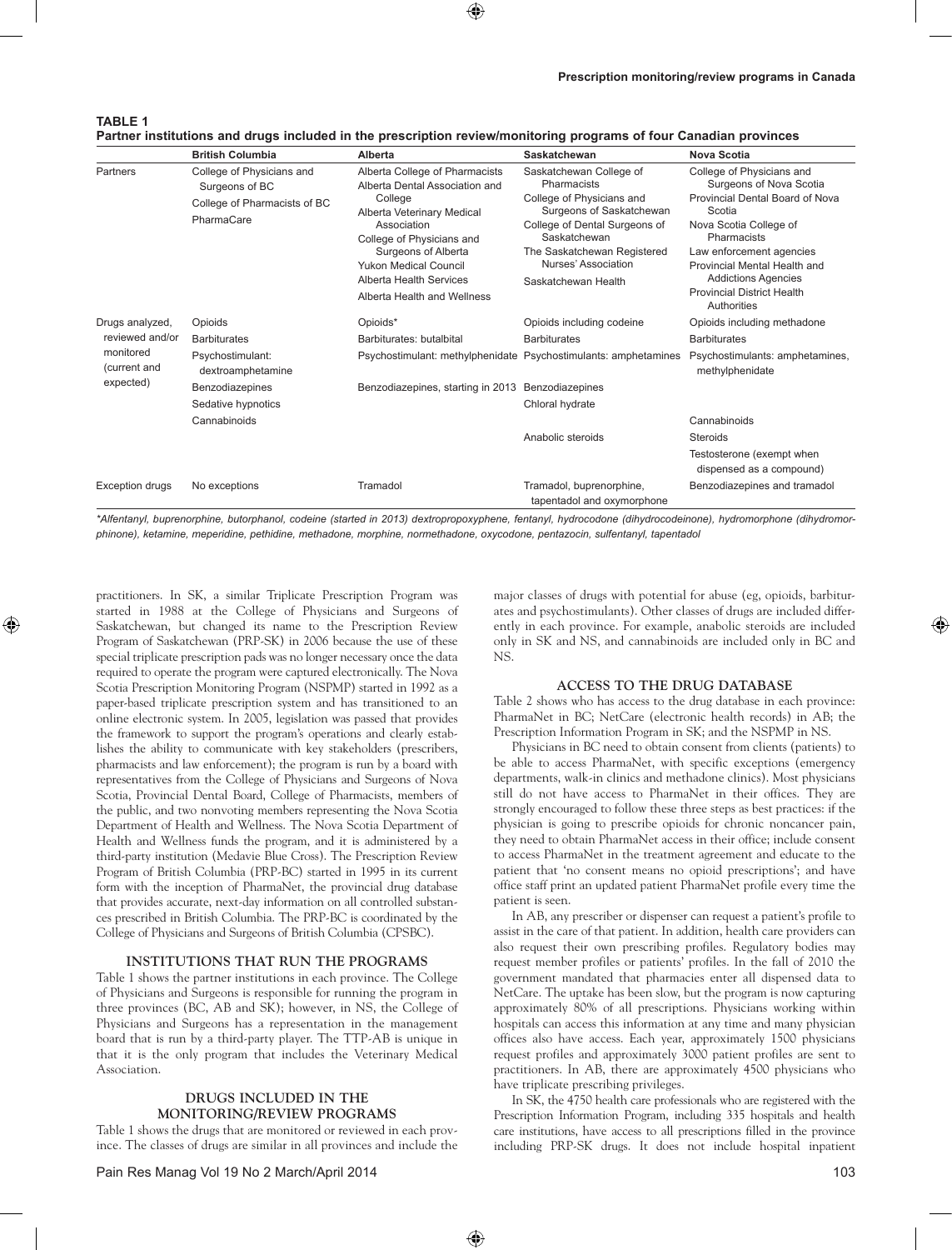| TABLE 1                                                                                                           |  |
|-------------------------------------------------------------------------------------------------------------------|--|
| Partner institutions and drugs included in the prescription review/monitoring programs of four Canadian provinces |  |

|                                                                              | <b>British Columbia</b>                                                                   | Alberta                                                                                                                                                                                                                                                                | Saskatchewan                                                                                                                                                                                                                  | <b>Nova Scotia</b>                                                                                                                                                                                                                                                                       |
|------------------------------------------------------------------------------|-------------------------------------------------------------------------------------------|------------------------------------------------------------------------------------------------------------------------------------------------------------------------------------------------------------------------------------------------------------------------|-------------------------------------------------------------------------------------------------------------------------------------------------------------------------------------------------------------------------------|------------------------------------------------------------------------------------------------------------------------------------------------------------------------------------------------------------------------------------------------------------------------------------------|
| Partners                                                                     | College of Physicians and<br>Surgeons of BC<br>College of Pharmacists of BC<br>PharmaCare | Alberta College of Pharmacists<br>Alberta Dental Association and<br>College<br>Alberta Veterinary Medical<br>Association<br>College of Physicians and<br>Surgeons of Alberta<br><b>Yukon Medical Council</b><br>Alberta Health Services<br>Alberta Health and Wellness | Saskatchewan College of<br>Pharmacists<br>College of Physicians and<br>Surgeons of Saskatchewan<br>College of Dental Surgeons of<br>Saskatchewan<br>The Saskatchewan Registered<br>Nurses' Association<br>Saskatchewan Health | College of Physicians and<br>Surgeons of Nova Scotia<br>Provincial Dental Board of Nova<br>Scotia<br>Nova Scotia College of<br>Pharmacists<br>Law enforcement agencies<br>Provincial Mental Health and<br><b>Addictions Agencies</b><br><b>Provincial District Health</b><br>Authorities |
| Drugs analyzed,<br>reviewed and/or<br>monitored<br>(current and<br>expected) | Opioids                                                                                   | Opioids*                                                                                                                                                                                                                                                               | Opioids including codeine                                                                                                                                                                                                     | Opioids including methadone                                                                                                                                                                                                                                                              |
|                                                                              | <b>Barbiturates</b>                                                                       | Barbiturates: butalbital                                                                                                                                                                                                                                               | <b>Barbiturates</b>                                                                                                                                                                                                           | <b>Barbiturates</b>                                                                                                                                                                                                                                                                      |
|                                                                              | Psychostimulant:<br>dextroamphetamine                                                     | Psychostimulant: methylphenidate Psychostimulants: amphetamines                                                                                                                                                                                                        |                                                                                                                                                                                                                               | Psychostimulants: amphetamines,<br>methylphenidate                                                                                                                                                                                                                                       |
|                                                                              | Benzodiazepines<br>Sedative hypnotics<br>Cannabinoids                                     | Benzodiazepines, starting in 2013                                                                                                                                                                                                                                      | Benzodiazepines                                                                                                                                                                                                               |                                                                                                                                                                                                                                                                                          |
|                                                                              |                                                                                           |                                                                                                                                                                                                                                                                        | Chloral hydrate                                                                                                                                                                                                               |                                                                                                                                                                                                                                                                                          |
|                                                                              |                                                                                           |                                                                                                                                                                                                                                                                        |                                                                                                                                                                                                                               | Cannabinoids                                                                                                                                                                                                                                                                             |
|                                                                              |                                                                                           |                                                                                                                                                                                                                                                                        | Anabolic steroids                                                                                                                                                                                                             | <b>Steroids</b>                                                                                                                                                                                                                                                                          |
|                                                                              |                                                                                           |                                                                                                                                                                                                                                                                        |                                                                                                                                                                                                                               | Testosterone (exempt when<br>dispensed as a compound)                                                                                                                                                                                                                                    |
| <b>Exception drugs</b>                                                       | No exceptions                                                                             | Tramadol                                                                                                                                                                                                                                                               | Tramadol, buprenorphine,<br>tapentadol and oxymorphone                                                                                                                                                                        | Benzodiazepines and tramadol                                                                                                                                                                                                                                                             |

*\*Alfentanyl, buprenorphine, butorphanol, codeine (started in 2013) dextropropoxyphene, fentanyl, hydrocodone (dihydrocodeinone), hydromorphone (dihydromorphinone), ketamine, meperidine, pethidine, methadone, morphine, normethadone, oxycodone, pentazocin, sulfentanyl, tapentadol*

practitioners. In SK, a similar Triplicate Prescription Program was started in 1988 at the College of Physicians and Surgeons of Saskatchewan, but changed its name to the Prescription Review Program of Saskatchewan (PRP-SK) in 2006 because the use of these special triplicate prescription pads was no longer necessary once the data required to operate the program were captured electronically. The Nova Scotia Prescription Monitoring Program (NSPMP) started in 1992 as a paper-based triplicate prescription system and has transitioned to an online electronic system. In 2005, legislation was passed that provides the framework to support the program's operations and clearly establishes the ability to communicate with key stakeholders (prescribers, pharmacists and law enforcement); the program is run by a board with representatives from the College of Physicians and Surgeons of Nova Scotia, Provincial Dental Board, College of Pharmacists, members of the public, and two nonvoting members representing the Nova Scotia Department of Health and Wellness. The Nova Scotia Department of Health and Wellness funds the program, and it is administered by a third-party institution (Medavie Blue Cross). The Prescription Review Program of British Columbia (PRP-BC) started in 1995 in its current form with the inception of PharmaNet, the provincial drug database that provides accurate, next-day information on all controlled substances prescribed in British Columbia. The PRP-BC is coordinated by the College of Physicians and Surgeons of British Columbia (CPSBC).

#### **INSTITUTIONS THAT RUN THE PROGRAMS**

Table 1 shows the partner institutions in each province. The College of Physicians and Surgeons is responsible for running the program in three provinces (BC, AB and SK); however, in NS, the College of Physicians and Surgeons has a representation in the management board that is run by a third-party player. The TTP-AB is unique in that it is the only program that includes the Veterinary Medical Association.

#### **DRUGS INCLUDED IN THE MONITORING/REVIEW PROGRAMs**

Table 1 shows the drugs that are monitored or reviewed in each province. The classes of drugs are similar in all provinces and include the major classes of drugs with potential for abuse (eg, opioids, barbiturates and psychostimulants). Other classes of drugs are included differently in each province. For example, anabolic steroids are included only in SK and NS, and cannabinoids are included only in BC and NS.

#### **ACCESS TO THE DRUG DATABASE**

Table 2 shows who has access to the drug database in each province: PharmaNet in BC; NetCare (electronic health records) in AB; the Prescription Information Program in SK; and the NSPMP in NS.

Physicians in BC need to obtain consent from clients (patients) to be able to access PharmaNet, with specific exceptions (emergency departments, walk-in clinics and methadone clinics). Most physicians still do not have access to PharmaNet in their offices. They are strongly encouraged to follow these three steps as best practices: if the physician is going to prescribe opioids for chronic noncancer pain, they need to obtain PharmaNet access in their office; include consent to access PharmaNet in the treatment agreement and educate to the patient that 'no consent means no opioid prescriptions'; and have office staff print an updated patient PharmaNet profile every time the patient is seen.

In AB, any prescriber or dispenser can request a patient's profile to assist in the care of that patient. In addition, health care providers can also request their own prescribing profiles. Regulatory bodies may request member profiles or patients' profiles. In the fall of 2010 the government mandated that pharmacies enter all dispensed data to NetCare. The uptake has been slow, but the program is now capturing approximately 80% of all prescriptions. Physicians working within hospitals can access this information at any time and many physician offices also have access. Each year, approximately 1500 physicians request profiles and approximately 3000 patient profiles are sent to practitioners. In AB, there are approximately 4500 physicians who have triplicate prescribing privileges.

In SK, the 4750 health care professionals who are registered with the Prescription Information Program, including 335 hospitals and health care institutions, have access to all prescriptions filled in the province including PRP-SK drugs. It does not include hospital inpatient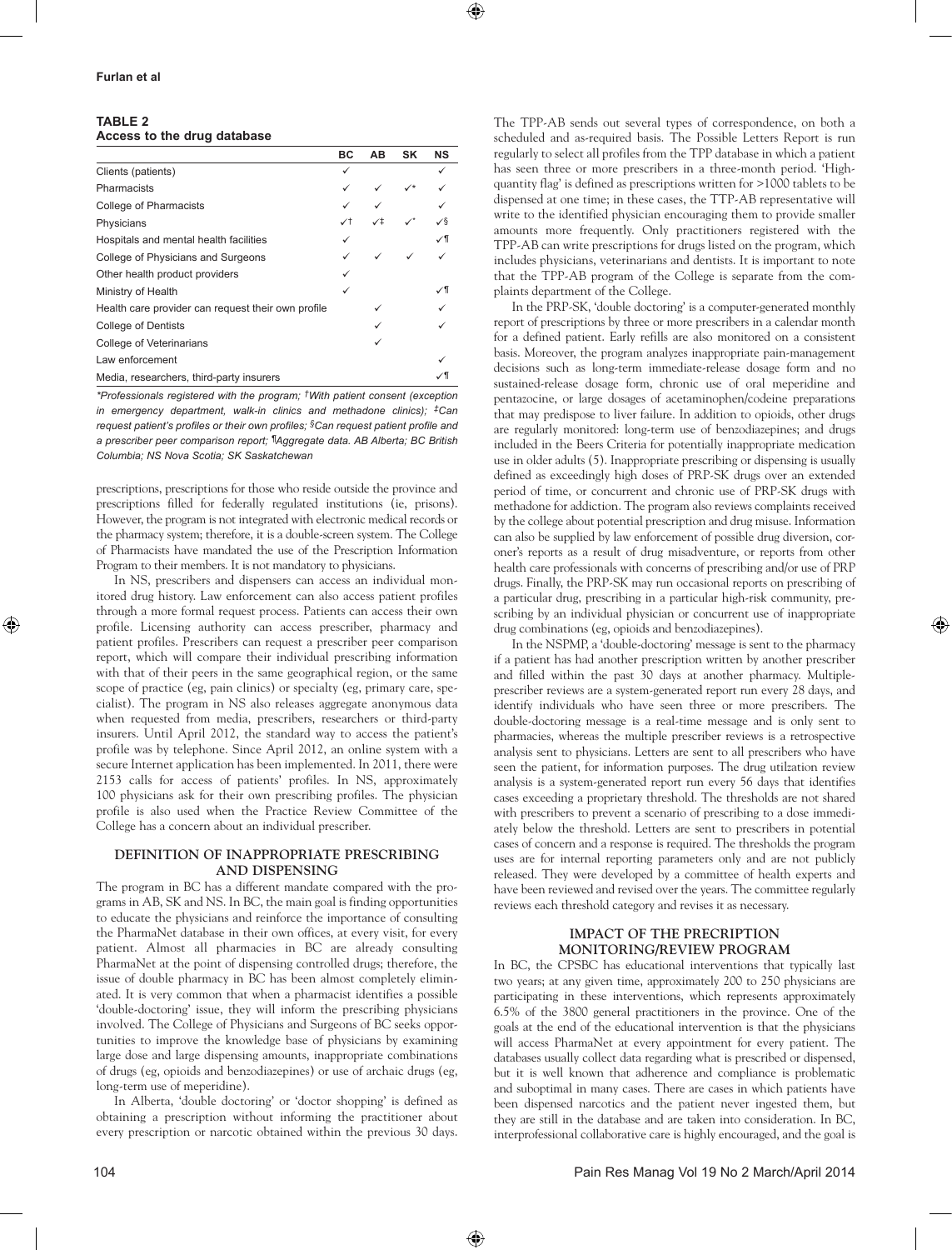#### **Table 2 Access to the drug database**

|                                                    | BC | AB | SK | <b>NS</b> |
|----------------------------------------------------|----|----|----|-----------|
| Clients (patients)                                 |    |    |    |           |
| Pharmacists                                        |    |    |    |           |
| <b>College of Pharmacists</b>                      |    |    |    |           |
| Physicians                                         | ✓↑ |    |    | ⁄§        |
| Hospitals and mental health facilities             |    |    |    |           |
| College of Physicians and Surgeons                 |    |    |    |           |
| Other health product providers                     |    |    |    |           |
| Ministry of Health                                 |    |    |    |           |
| Health care provider can request their own profile |    |    |    |           |
| <b>College of Dentists</b>                         |    |    |    |           |
| College of Veterinarians                           |    |    |    |           |
| Law enforcement                                    |    |    |    |           |
| Media, researchers, third-party insurers           |    |    |    |           |

*\*Professionals registered with the program; †With patient consent (exception in emergency department, walk-in clinics and methadone clinics); ‡Can request patient's profiles or their own profiles; §Can request patient profile and a prescriber peer comparison report; ¶Aggregate data. AB Alberta; BC British Columbia; NS Nova Scotia; SK Saskatchewan*

prescriptions, prescriptions for those who reside outside the province and prescriptions filled for federally regulated institutions (ie, prisons). However, the program is not integrated with electronic medical records or the pharmacy system; therefore, it is a double-screen system. The College of Pharmacists have mandated the use of the Prescription Information Program to their members. It is not mandatory to physicians.

In NS, prescribers and dispensers can access an individual monitored drug history. Law enforcement can also access patient profiles through a more formal request process. Patients can access their own profile. Licensing authority can access prescriber, pharmacy and patient profiles. Prescribers can request a prescriber peer comparison report, which will compare their individual prescribing information with that of their peers in the same geographical region, or the same scope of practice (eg, pain clinics) or specialty (eg, primary care, specialist). The program in NS also releases aggregate anonymous data when requested from media, prescribers, researchers or third-party insurers. Until April 2012, the standard way to access the patient's profile was by telephone. Since April 2012, an online system with a secure Internet application has been implemented. In 2011, there were 2153 calls for access of patients' profiles. In NS, approximately 100 physicians ask for their own prescribing profiles. The physician profile is also used when the Practice Review Committee of the College has a concern about an individual prescriber.

#### **DEFINITION OF INAPPROPRIATE PRESCRIBING AND DISPENSING**

The program in BC has a different mandate compared with the programs in AB, SK and NS. In BC, the main goal is finding opportunities to educate the physicians and reinforce the importance of consulting the PharmaNet database in their own offices, at every visit, for every patient. Almost all pharmacies in BC are already consulting PharmaNet at the point of dispensing controlled drugs; therefore, the issue of double pharmacy in BC has been almost completely eliminated. It is very common that when a pharmacist identifies a possible 'double-doctoring' issue, they will inform the prescribing physicians involved. The College of Physicians and Surgeons of BC seeks opportunities to improve the knowledge base of physicians by examining large dose and large dispensing amounts, inappropriate combinations of drugs (eg, opioids and benzodiazepines) or use of archaic drugs (eg, long-term use of meperidine).

In Alberta, 'double doctoring' or 'doctor shopping' is defined as obtaining a prescription without informing the practitioner about every prescription or narcotic obtained within the previous 30 days.

The TPP-AB sends out several types of correspondence, on both a scheduled and as-required basis. The Possible Letters Report is run regularly to select all profiles from the TPP database in which a patient has seen three or more prescribers in a three-month period. 'Highquantity flag' is defined as prescriptions written for >1000 tablets to be dispensed at one time; in these cases, the TTP-AB representative will write to the identified physician encouraging them to provide smaller amounts more frequently. Only practitioners registered with the TPP-AB can write prescriptions for drugs listed on the program, which includes physicians, veterinarians and dentists. It is important to note that the TPP-AB program of the College is separate from the complaints department of the College.

In the PRP-SK, 'double doctoring' is a computer-generated monthly report of prescriptions by three or more prescribers in a calendar month for a defined patient. Early refills are also monitored on a consistent basis. Moreover, the program analyzes inappropriate pain-management decisions such as long-term immediate-release dosage form and no sustained-release dosage form, chronic use of oral meperidine and pentazocine, or large dosages of acetaminophen/codeine preparations that may predispose to liver failure. In addition to opioids, other drugs are regularly monitored: long-term use of benzodiazepines; and drugs included in the Beers Criteria for potentially inappropriate medication use in older adults (5). Inappropriate prescribing or dispensing is usually defined as exceedingly high doses of PRP-SK drugs over an extended period of time, or concurrent and chronic use of PRP-SK drugs with methadone for addiction. The program also reviews complaints received by the college about potential prescription and drug misuse. Information can also be supplied by law enforcement of possible drug diversion, coroner's reports as a result of drug misadventure, or reports from other health care professionals with concerns of prescribing and/or use of PRP drugs. Finally, the PRP-SK may run occasional reports on prescribing of a particular drug, prescribing in a particular high-risk community, prescribing by an individual physician or concurrent use of inappropriate drug combinations (eg, opioids and benzodiazepines).

In the NSPMP, a 'double-doctoring' message is sent to the pharmacy if a patient has had another prescription written by another prescriber and filled within the past 30 days at another pharmacy. Multipleprescriber reviews are a system-generated report run every 28 days, and identify individuals who have seen three or more prescribers. The double-doctoring message is a real-time message and is only sent to pharmacies, whereas the multiple prescriber reviews is a retrospective analysis sent to physicians. Letters are sent to all prescribers who have seen the patient, for information purposes. The drug utilzation review analysis is a system-generated report run every 56 days that identifies cases exceeding a proprietary threshold. The thresholds are not shared with prescribers to prevent a scenario of prescribing to a dose immediately below the threshold. Letters are sent to prescribers in potential cases of concern and a response is required. The thresholds the program uses are for internal reporting parameters only and are not publicly released. They were developed by a committee of health experts and have been reviewed and revised over the years. The committee regularly reviews each threshold category and revises it as necessary.

#### **IMPACT OF THE PRECRIPTION MONITORING/REVIEW PROGRAM**

In BC, the CPSBC has educational interventions that typically last two years; at any given time, approximately 200 to 250 physicians are participating in these interventions, which represents approximately 6.5% of the 3800 general practitioners in the province. One of the goals at the end of the educational intervention is that the physicians will access PharmaNet at every appointment for every patient. The databases usually collect data regarding what is prescribed or dispensed, but it is well known that adherence and compliance is problematic and suboptimal in many cases. There are cases in which patients have been dispensed narcotics and the patient never ingested them, but they are still in the database and are taken into consideration. In BC, interprofessional collaborative care is highly encouraged, and the goal is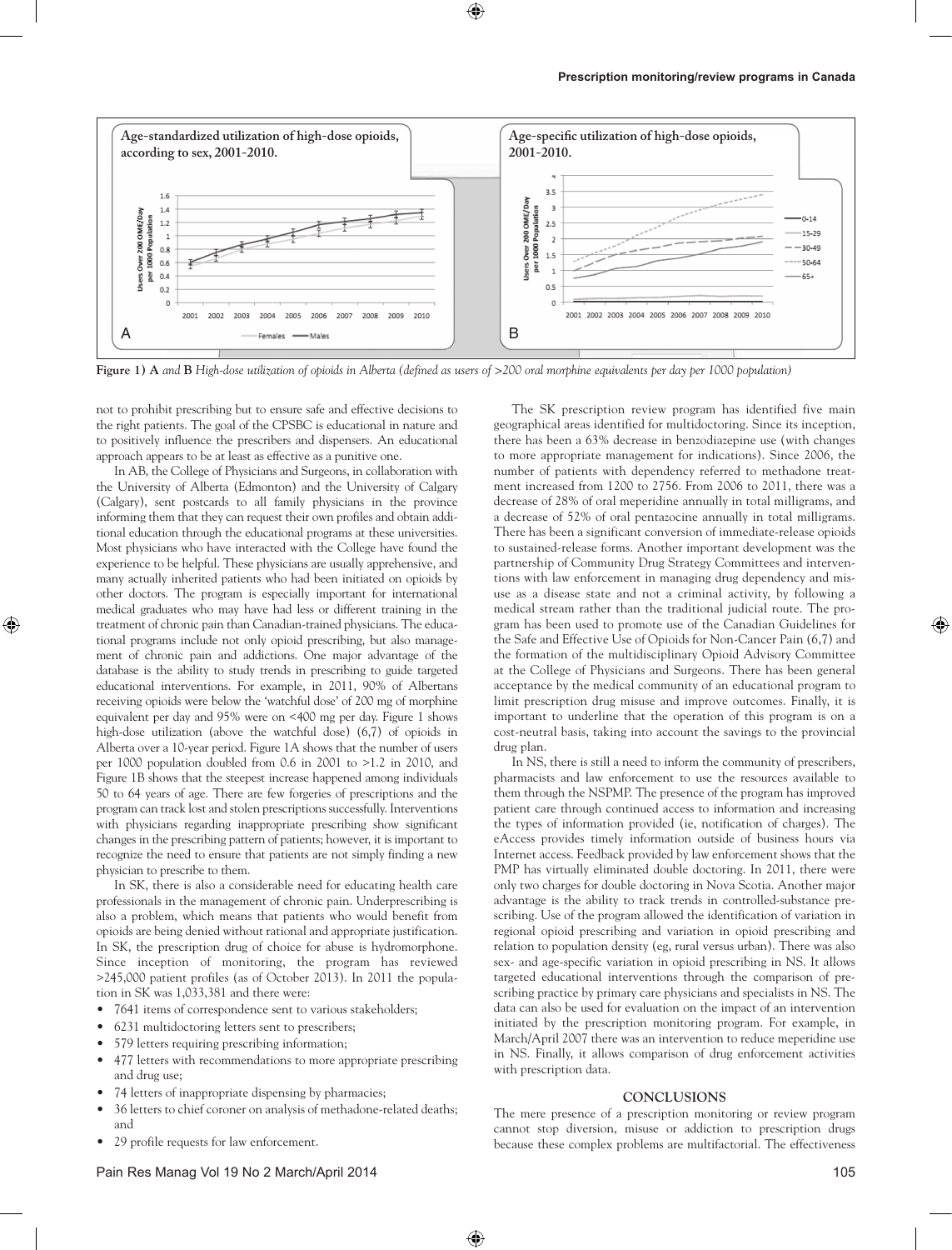

**Figure 1) A** *and* **B** *High-dose utilization of opioids in Alberta (defined as users of >200 oral morphine equivalents per day per 1000 population)*

not to prohibit prescribing but to ensure safe and effective decisions to the right patients. The goal of the CPSBC is educational in nature and to positively influence the prescribers and dispensers. An educational approach appears to be at least as effective as a punitive one.

In AB, the College of Physicians and Surgeons, in collaboration with the University of Alberta (Edmonton) and the University of Calgary (Calgary), sent postcards to all family physicians in the province informing them that they can request their own profiles and obtain additional education through the educational programs at these universities. Most physicians who have interacted with the College have found the experience to be helpful. These physicians are usually apprehensive, and many actually inherited patients who had been initiated on opioids by other doctors. The program is especially important for international medical graduates who may have had less or different training in the treatment of chronic pain than Canadian-trained physicians. The educational programs include not only opioid prescribing, but also management of chronic pain and addictions. One major advantage of the database is the ability to study trends in prescribing to guide targeted educational interventions. For example, in 2011, 90% of Albertans receiving opioids were below the 'watchful dose' of 200 mg of morphine equivalent per day and 95% were on <400 mg per day. Figure 1 shows high-dose utilization (above the watchful dose) (6,7) of opioids in Alberta over a 10-year period. Figure 1A shows that the number of users per 1000 population doubled from 0.6 in 2001 to >1.2 in 2010, and Figure 1B shows that the steepest increase happened among individuals 50 to 64 years of age. There are few forgeries of prescriptions and the program can track lost and stolen prescriptions successfully. Interventions with physicians regarding inappropriate prescribing show significant changes in the prescribing pattern of patients; however, it is important to recognize the need to ensure that patients are not simply finding a new physician to prescribe to them.

In SK, there is also a considerable need for educating health care professionals in the management of chronic pain. Underprescribing is also a problem, which means that patients who would benefit from opioids are being denied without rational and appropriate justification. In SK, the prescription drug of choice for abuse is hydromorphone. Since inception of monitoring, the program has reviewed >245,000 patient profiles (as of October 2013). In 2011 the population in SK was 1,033,381 and there were:

- 7641 items of correspondence sent to various stakeholders;
- 6231 multidoctoring letters sent to prescribers;
- 579 letters requiring prescribing information;
- 477 letters with recommendations to more appropriate prescribing and drug use;
- 74 letters of inappropriate dispensing by pharmacies;
- 36 letters to chief coroner on analysis of methadone-related deaths; and
- 29 profile requests for law enforcement.

The SK prescription review program has identified five main geographical areas identified for multidoctoring. Since its inception, there has been a 63% decrease in benzodiazepine use (with changes to more appropriate management for indications). Since 2006, the number of patients with dependency referred to methadone treatment increased from 1200 to 2756. From 2006 to 2011, there was a decrease of 28% of oral meperidine annually in total milligrams, and a decrease of 52% of oral pentazocine annually in total milligrams. There has been a significant conversion of immediate-release opioids to sustained-release forms. Another important development was the partnership of Community Drug Strategy Committees and interventions with law enforcement in managing drug dependency and misuse as a disease state and not a criminal activity, by following a medical stream rather than the traditional judicial route. The program has been used to promote use of the Canadian Guidelines for the Safe and Effective Use of Opioids for Non-Cancer Pain (6,7) and the formation of the multidisciplinary Opioid Advisory Committee at the College of Physicians and Surgeons. There has been general acceptance by the medical community of an educational program to limit prescription drug misuse and improve outcomes. Finally, it is important to underline that the operation of this program is on a cost-neutral basis, taking into account the savings to the provincial drug plan.

In NS, there is still a need to inform the community of prescribers, pharmacists and law enforcement to use the resources available to them through the NSPMP. The presence of the program has improved patient care through continued access to information and increasing the types of information provided (ie, notification of charges). The eAccess provides timely information outside of business hours via Internet access. Feedback provided by law enforcement shows that the PMP has virtually eliminated double doctoring. In 2011, there were only two charges for double doctoring in Nova Scotia. Another major advantage is the ability to track trends in controlled-substance prescribing. Use of the program allowed the identification of variation in regional opioid prescribing and variation in opioid prescribing and relation to population density (eg, rural versus urban). There was also sex- and age-specific variation in opioid prescribing in NS. It allows targeted educational interventions through the comparison of prescribing practice by primary care physicians and specialists in NS. The data can also be used for evaluation on the impact of an intervention initiated by the prescription monitoring program. For example, in March/April 2007 there was an intervention to reduce meperidine use in NS. Finally, it allows comparison of drug enforcement activities with prescription data.

#### **CONCLUSIONS**

The mere presence of a prescription monitoring or review program cannot stop diversion, misuse or addiction to prescription drugs because these complex problems are multifactorial. The effectiveness